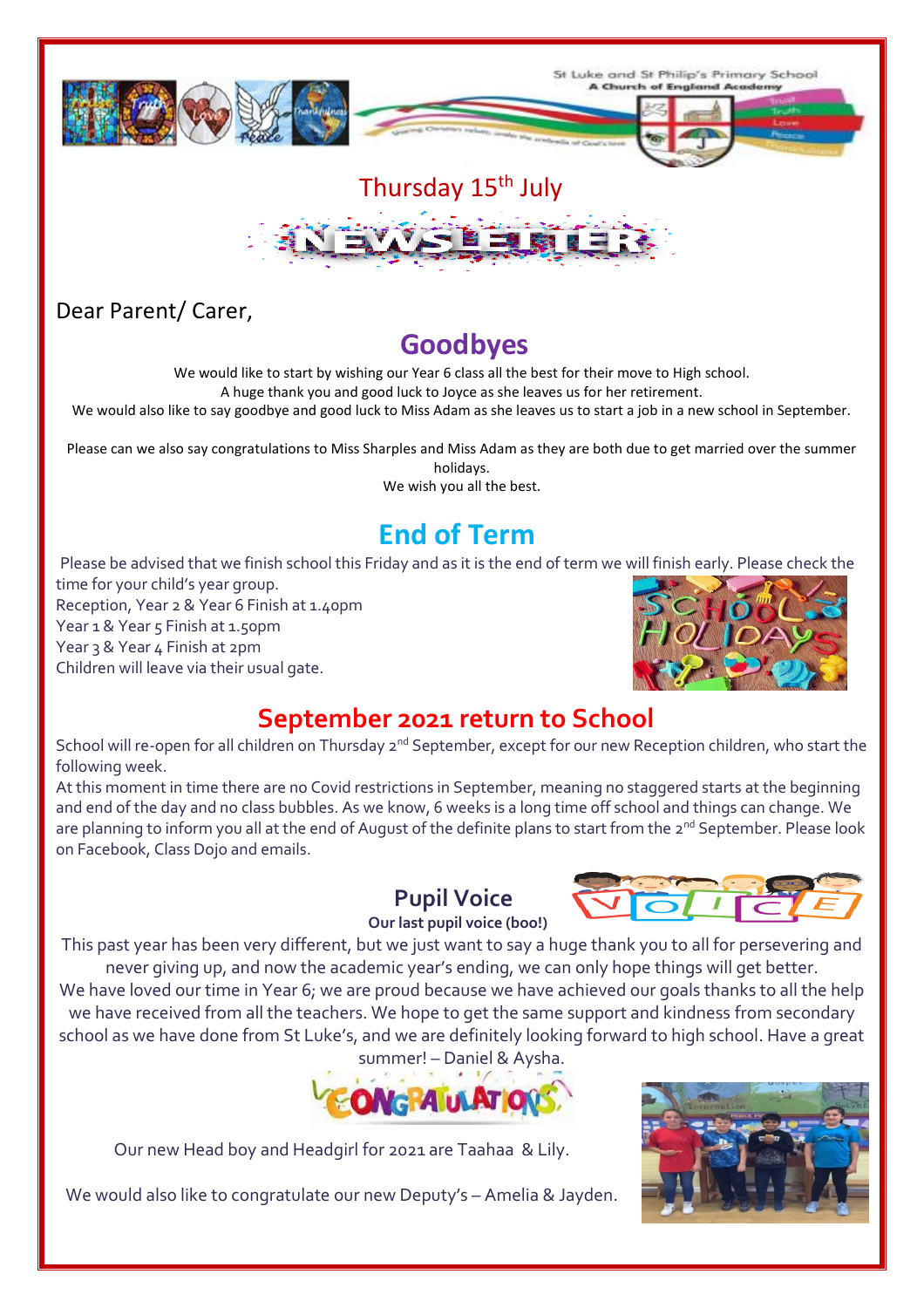

# Thursday 15<sup>th</sup> July



#### Dear Parent/ Carer,

### **Goodbyes**

We would like to start by wishing our Year 6 class all the best for their move to High school.

A huge thank you and good luck to Joyce as she leaves us for her retirement.

We would also like to say goodbye and good luck to Miss Adam as she leaves us to start a job in a new school in September.

Please can we also say congratulations to Miss Sharples and Miss Adam as they are both due to get married over the summer holidays.

We wish you all the best.

# **End of Term**

Please be advised that we finish school this Friday and as it is the end of term we will finish early. Please check the time for your child's year group. Reception, Year 2 & Year 6 Finish at 1.40pm Year 1 & Year 5 Finish at 1.50pm Year 3 & Year 4 Finish at 2pm

Children will leave via their usual gate.



## **September 2021 return to School**

School will re-open for all children on Thursday 2<sup>nd</sup> September, except for our new Reception children, who start the following week.

At this moment in time there are no Covid restrictions in September, meaning no staggered starts at the beginning and end of the day and no class bubbles. As we know, 6 weeks is a long time off school and things can change. We are planning to inform you all at the end of August of the definite plans to start from the 2<sup>nd</sup> September. Please look on Facebook, Class Dojo and emails.

#### **Pupil Voice**



 **Our last pupil voice (boo!)**

This past year has been very different, but we just want to say a huge thank you to all for persevering and never giving up, and now the academic year's ending, we can only hope things will get better. We have loved our time in Year 6; we are proud because we have achieved our goals thanks to all the help we have received from all the teachers. We hope to get the same support and kindness from secondary school as we have done from St Luke's, and we are definitely looking forward to high school. Have a great summer! – Daniel & Aysha.



Our new Head boy and Headgirl for 2021 are Taahaa & Lily.

We would also like to congratulate our new Deputy's – Amelia & Jayden.

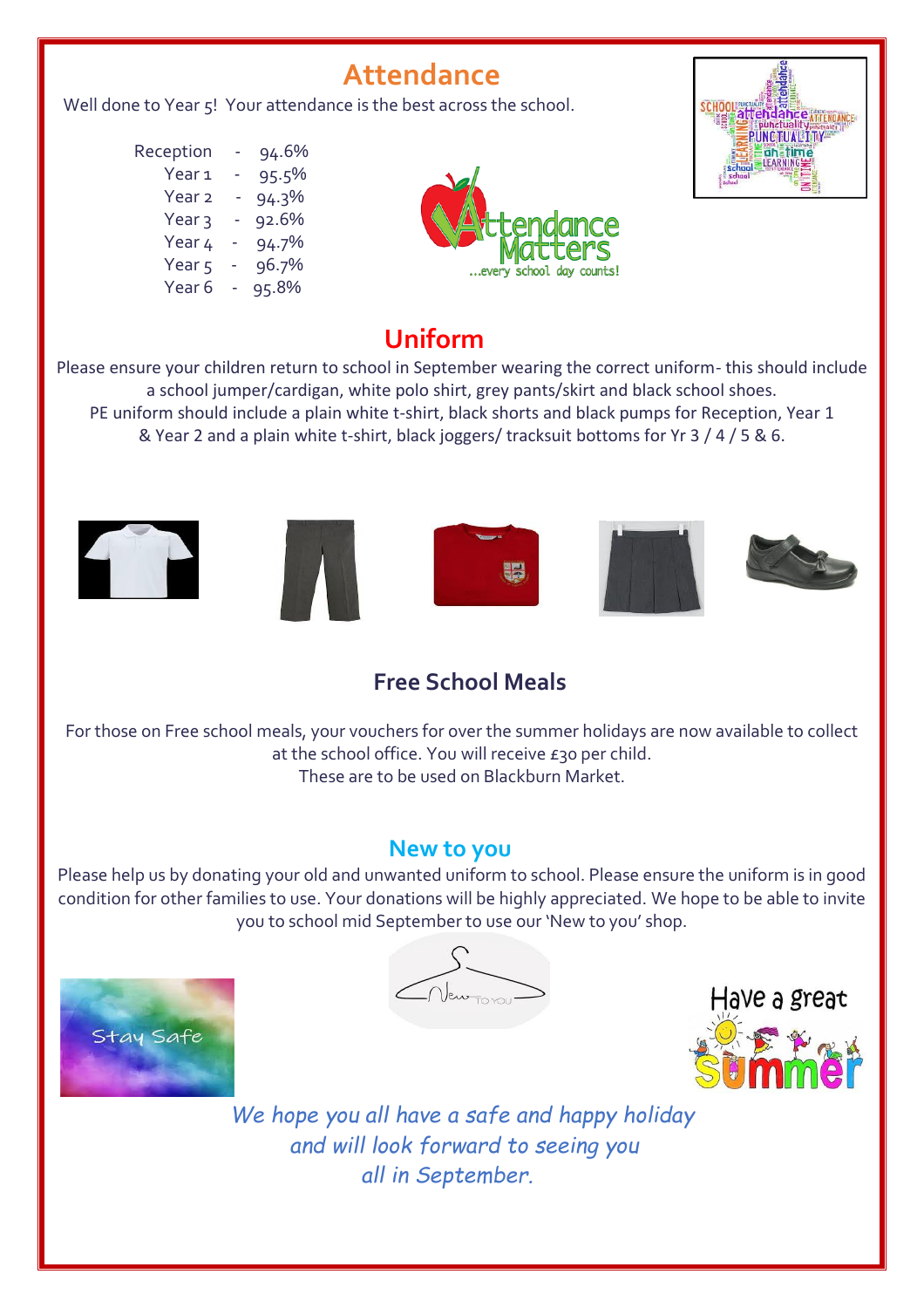## **Attendance**

Well done to Year 5! Your attendance is the best across the school.

 Reception - 94.6%  $Year 1 - 95.5%$ Year 2 - 94.3%  $Year_3 - 92.6%$ Year  $4 - 94.7\%$ Year 5 - 96.7% Year 6 - 95.8%





### **Uniform**

Please ensure your children return to school in September wearing the correct uniform- this should include a school jumper/cardigan, white polo shirt, grey pants/skirt and black school shoes. PE uniform should include a plain white t-shirt, black shorts and black pumps for Reception, Year 1 & Year 2 and a plain white t-shirt, black joggers/ tracksuit bottoms for Yr 3 / 4 / 5 & 6.











#### **Free School Meals**

For those on Free school meals, your vouchers for over the summer holidays are now available to collect at the school office. You will receive £30 per child. These are to be used on Blackburn Market.

#### **New to you**

Please help us by donating your old and unwanted uniform to school. Please ensure the uniform is in good condition for other families to use. Your donations will be highly appreciated. We hope to be able to invite you to school mid September to use our 'New to you' shop.



 $\sqrt{2\pi}$ 



*We hope you all have a safe and happy holiday and will look forward to seeing you all in September.*